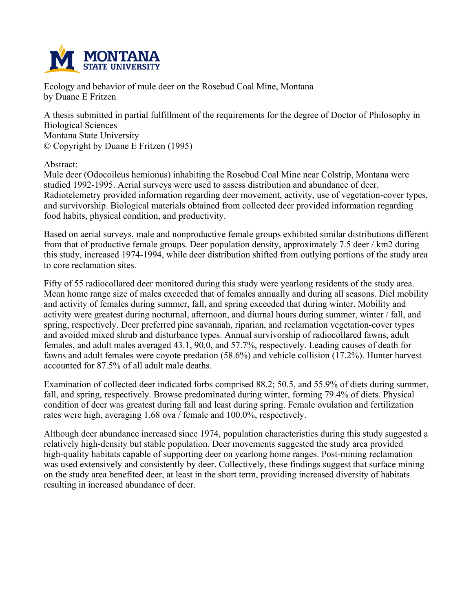

**Ecology and behavior of mule deer on the Rosebud Coal Mine, Montana by Duane E Fritzen**

**A thesis submitted in partial fulfillment of the requirements for the degree of Doctor of Philosophy in Biological Sciences Montana State University © Copyright by Duane E Fritzen (1995)**

**Abstract:**

**Mule deer (Odocoileus hemionus) inhabiting the Rosebud Coal Mine near Colstrip, Montana were studied 1992-1995. Aerial surveys were used to assess distribution and abundance of deer. Radiotelemetry provided information regarding deer movement, activity, use of vegetation-cover types, and survivorship. Biological materials obtained from collected deer provided information regarding food habits, physical condition, and productivity.**

**Based on aerial surveys, male and nonproductive female groups exhibited similar distributions different from that of productive female groups. Deer population density, approximately 7.5 deer / km2 during this study, increased 1974-1994, while deer distribution shifted from outlying portions of the study area to core reclamation sites.**

**Fifty of 55 radiocollared deer monitored during this study were yearlong residents of the study area. Mean home range size of males exceeded that of females annually and during all seasons. Diel mobility and activity of females during summer, fall, and spring exceeded that during winter. Mobility and activity were greatest during nocturnal, afternoon, and diurnal hours during summer, winter / fall, and spring, respectively. Deer preferred pine savannah, riparian, and reclamation vegetation-cover types and avoided mixed shrub and disturbance types. Annual survivorship of radiocollared fawns, adult females, and adult males averaged 43.1, 90.0, and 57.7%, respectively. Leading causes of death for fawns and adult females were coyote predation (58.6%) and vehicle collision (17.2%). Hunter harvest accounted for 87.5% of all adult male deaths.**

**Examination of collected deer indicated forbs comprised 88.2; 50.5, and 55.9% of diets during summer, fall, and spring, respectively. Browse predominated during winter, forming 79.4% of diets. Physical condition of deer was greatest during fall and least during spring. Female ovulation and fertilization rates were high, averaging 1.68 ova / female and 100.0%, respectively.**

**Although deer abundance increased since 1974, population characteristics during this study suggested a relatively high-density but stable population. Deer movements suggested the study area provided high-quality habitats capable of supporting deer on yearlong home ranges. Post-mining reclamation was used extensively and consistently by deer. Collectively, these findings suggest that surface mining on the study area benefited deer, at least in the short term, providing increased diversity of habitats resulting in increased abundance of deer.**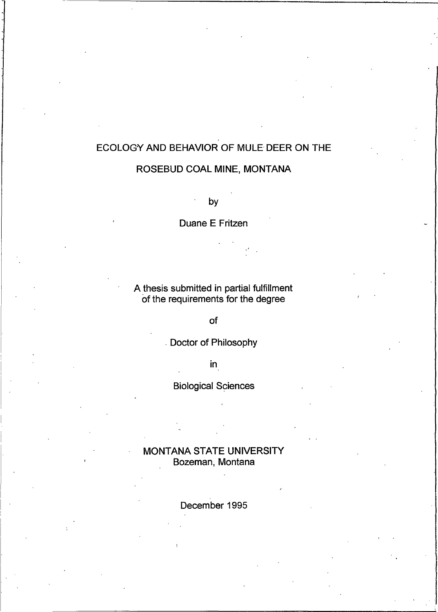# ECOLOGY AND BEHAVIOR OF MULE DEER ON THE

# ROSEBUD COAL MINE, MONTANA

by

Duane E Fritzen

A thesis submitted in partial fulfillment of the requirements for the degree

of

Doctor of Philosophy

 $in$ 

**Biological Sciences** 

**MONTANA STATE UNIVERSITY** Bozeman, Montana

December 1995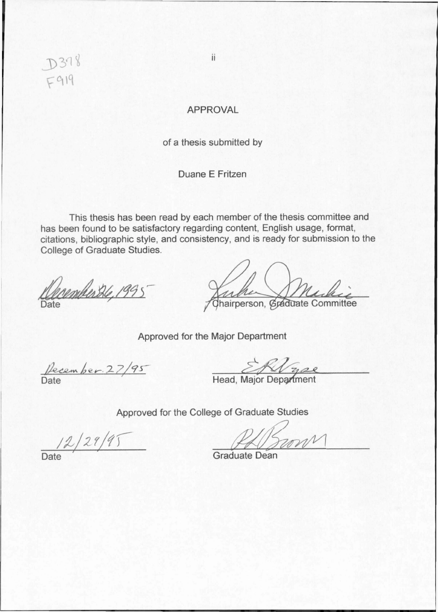D378  $F919$ 

ii

# **APPROVAL**

of a thesis submitted by

Duane E Fritzen

This thesis has been read by each member of the thesis committee and has been found to be satisfactory regarding content, English usage, format, citations, bibliographic style, and consistency, and is ready for submission to the College of Graduate Studies.

Camberthe, 1995

Inha Muchie

Approved for the Major Department

Pecember 27/95

Head, Major Department

Approved for the College of Graduate Studies

 $\frac{12}{29/19}$ 

**Graduate Dean**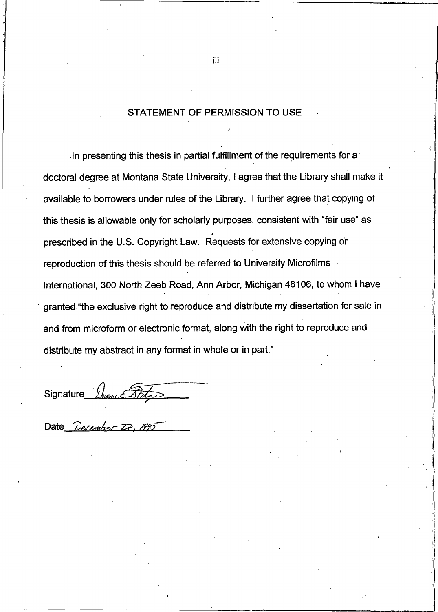# **STATEMENT OF PERMISSION TO USE**

In presenting this thesis in partial fulfillment of the requirements for a doctoral degree at Montana State University, I agree that the Library shall make it available to borrowers under rules of the Library. I further agree that copying of this thesis is allowable only for scholarly purposes, consistent with "fair use" as prescribed in the U.S. Copyright Law. Requests for extensive copying or reproduction of this thesis should be referred to University Microfilms International, 300 North Zeeb Road, Ann Arbor, Michigan 48106, to whom I have granted "the exclusive right to reproduce and distribute my dissertation for sale in and from microform or electronic format, along with the right to reproduce and distribute my abstract in any format in whole or in part."

Signature

Date Decem

iii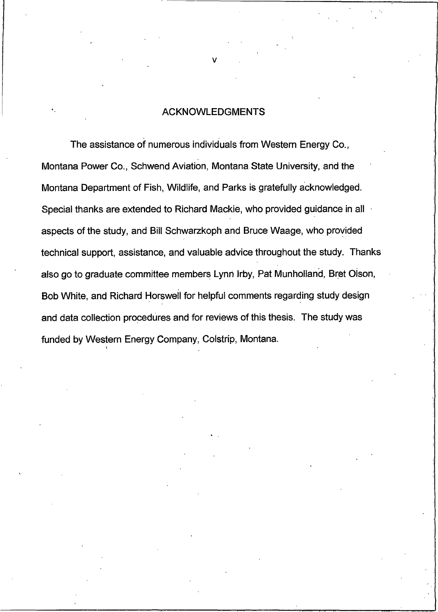# **ACKNOWLEDGMENTS**

The assistance of numerous individuals from Western Energy Co., Montana Power Co., Schwend Aviation, Montana State University, and the Montana Department of Fish, Wildlife, and Parks is gratefully acknowledged. Special thanks are extended to Richard Mackie, who provided guidance in all by aspects of the study, and Bill Schwarzkoph and Bruce Waage, who provided technical support, assistance, and valuable advice throughout the study. Thanks also go to graduate committee members Lynn Irby, Pat Munholland, Bret Olson, Bob White, and Richard Horswell for helpful comments regarding study design and data collection procedures and for reviews of this thesis. The study was funded by Western Energy Company, Colstrip, Montana.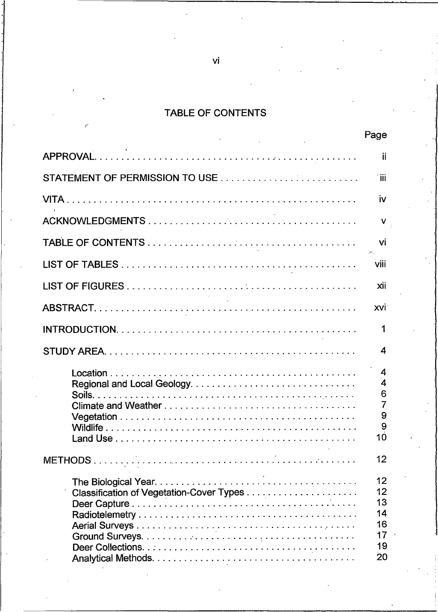### TABLE OF CONTEN

-

|                                                          | Page                                                      |  |
|----------------------------------------------------------|-----------------------------------------------------------|--|
| <b>APPROVAL.</b>                                         |                                                           |  |
| STATEMENT OF PERMISSION TO USE                           |                                                           |  |
|                                                          | <b>IV</b>                                                 |  |
| <b>ACKNOWLEDGMENTS</b>                                   |                                                           |  |
|                                                          |                                                           |  |
| <b>LIST OF TABLES</b>                                    | <b>Vili</b>                                               |  |
| <b>LIST OF FIGURES</b>                                   | xii                                                       |  |
| ABSTRACT                                                 | XVI.                                                      |  |
|                                                          |                                                           |  |
| <b>STUDY AREA.</b>                                       |                                                           |  |
| Location.<br>Soils.<br><b>Land Use</b><br><b>METHODS</b> | 12                                                        |  |
|                                                          | 12<br>12<br>13<br>14<br>16<br>17 <sup>2</sup><br>19<br>20 |  |

 $\overline{\mathsf{vi}}$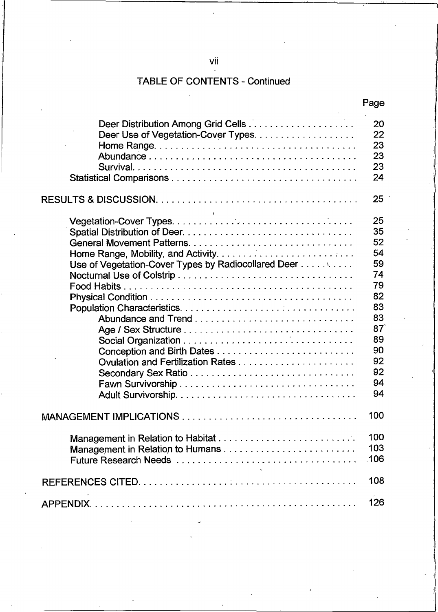# vii

#### TABLE OF CONTENTS - Continued

|                                                     | Page |
|-----------------------------------------------------|------|
|                                                     | 20   |
|                                                     | 22   |
|                                                     | 23   |
|                                                     | 23   |
|                                                     | 23   |
|                                                     | 24   |
|                                                     | 25   |
|                                                     | 25   |
|                                                     | 35   |
|                                                     | 52   |
|                                                     | 54   |
| Use of Vegetation-Cover Types by Radiocollared Deer | 59   |
|                                                     | 74   |
| <b>Food Habits</b>                                  | 79   |
|                                                     | 82   |
|                                                     | 83   |
|                                                     | 83   |
|                                                     | 87   |
|                                                     | 89   |
|                                                     | 90   |
|                                                     | 92   |
|                                                     | 92   |
|                                                     | 94   |
|                                                     |      |
|                                                     | 94   |
|                                                     | 100  |
|                                                     | 100  |
|                                                     | 103  |
|                                                     |      |
| <b>REFERENCES CITED.</b>                            | 108  |
| <b>APPENDIX.</b>                                    | 126  |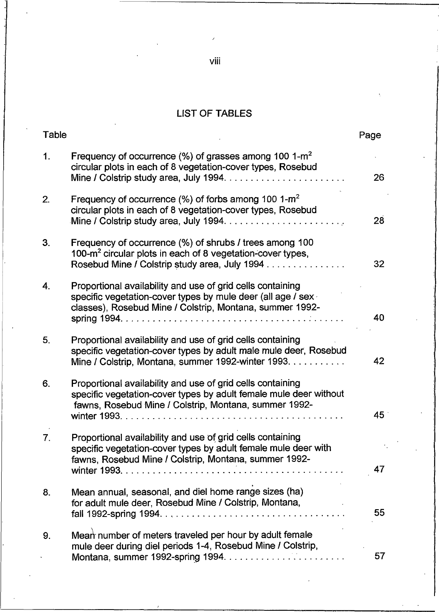### LIST OF TABLES

| Table          |                                                                                                                                                                                          | Page |  |  |  |
|----------------|------------------------------------------------------------------------------------------------------------------------------------------------------------------------------------------|------|--|--|--|
| 1.             | Frequency of occurrence $(% )$ of grasses among 100 1-m <sup>2</sup><br>circular plots in each of 8 vegetation-cover types, Rosebud                                                      | 26   |  |  |  |
| 2.             | Frequency of occurrence $(\%)$ of forbs among 100 1-m <sup>2</sup><br>circular plots in each of 8 vegetation-cover types, Rosebud                                                        | 28   |  |  |  |
| 3.             | Frequency of occurrence (%) of shrubs / trees among 100<br>100- $m2$ circular plots in each of 8 vegetation-cover types,<br>Rosebud Mine / Colstrip study area, July 1994                | 32   |  |  |  |
| 4.             | Proportional availability and use of grid cells containing<br>specific vegetation-cover types by mule deer (all age / sex<br>classes), Rosebud Mine / Colstrip, Montana, summer 1992-    | 40.  |  |  |  |
| 5.             | Proportional availability and use of grid cells containing<br>specific vegetation-cover types by adult male mule deer, Rosebud<br>Mine / Colstrip, Montana, summer 1992-winter 1993.     | 42   |  |  |  |
| 6.             | Proportional availability and use of grid cells containing<br>specific vegetation-cover types by adult female mule deer without<br>fawns, Rosebud Mine / Colstrip, Montana, summer 1992- | 45   |  |  |  |
| 7 <sub>1</sub> | Proportional availability and use of grid cells containing<br>specific vegetation-cover types by adult female mule deer with<br>fawns, Rosebud Mine / Colstrip, Montana, summer 1992-    |      |  |  |  |
| 8.             | Mean annual, seasonal, and diel home range sizes (ha)<br>for adult mule deer, Rosebud Mine / Colstrip, Montana,                                                                          | 55   |  |  |  |
| 9.             | Mean number of meters traveled per hour by adult female<br>mule deer during diel periods 1-4, Rosebud Mine / Colstrip,                                                                   | 57   |  |  |  |

viii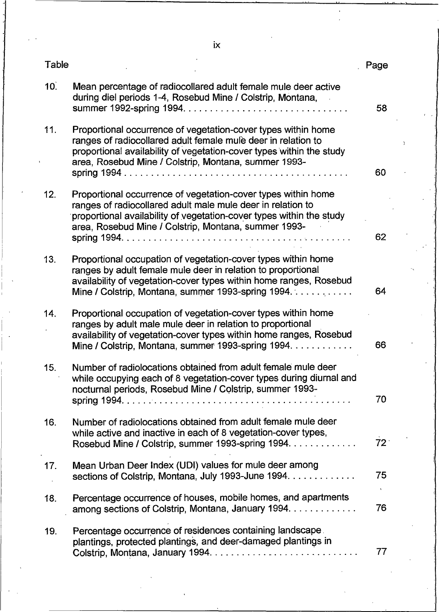| Table           |                                                                                                                                                                                                                                                                | -age            |  |
|-----------------|----------------------------------------------------------------------------------------------------------------------------------------------------------------------------------------------------------------------------------------------------------------|-----------------|--|
| 10 <sup>2</sup> | Mean percentage of radiocollared adult female mule deer active<br>during diel periods 1-4, Rosebud Mine / Colstrip, Montana,                                                                                                                                   | 58              |  |
| 11.             | Proportional occurrence of vegetation-cover types within home<br>ranges of radiocollared adult female mule deer in relation to<br>proportional availability of vegetation-cover types within the study<br>area, Rosebud Mine / Colstrip, Montana, summer 1993- | 60              |  |
| 12.             | Proportional occurrence of vegetation-cover types within home<br>ranges of radiocollared adult male mule deer in relation to<br>proportional availability of vegetation-cover types within the study<br>area, Rosebud Mine / Colstrip, Montana, summer 1993-   | 62              |  |
| 13.             | Proportional occupation of vegetation-cover types within home<br>ranges by adult female mule deer in relation to proportional<br>availability of vegetation-cover types within home ranges, Rosebud<br>Mine / Colstrip, Montana, summer 1993-spring 1994.      | 64              |  |
| 14.             | Proportional occupation of vegetation-cover types within home<br>ranges by adult male mule deer in relation to proportional<br>availability of vegetation-cover types within home ranges, Rosebud<br>Mine / Colstrip, Montana, summer 1993-spring 1994.        | 66              |  |
| 15.             | Number of radiolocations obtained from adult female mule deer<br>while occupying each of 8 vegetation-cover types during diurnal and<br>nocturnal periods, Rosebud Mine / Colstrip, summer 1993-<br>spring 1994                                                | 70              |  |
| 16.             | Number of radiolocations obtained from adult female mule deer<br>while active and inactive in each of 8 vegetation-cover types,<br>Rosebud Mine / Colstrip, summer 1993-spring 1994. .<br>.                                                                    | 72 <sup>°</sup> |  |
| 17.             | Mean Urban Deer Index (UDI) values for mule deer among<br>sections of Colstrip, Montana, July 1993-June 1994.                                                                                                                                                  | 75              |  |
| 18.             | Percentage occurrence of houses, mobile homes, and apartments<br>among sections of Colstrip, Montana, January 1994.                                                                                                                                            | 76              |  |
| 19.             | Percentage occurrence of residences containing landscape.<br>plantings, protected plantings, and deer-damaged plantings in                                                                                                                                     | 77              |  |

 $i\mathsf{x}$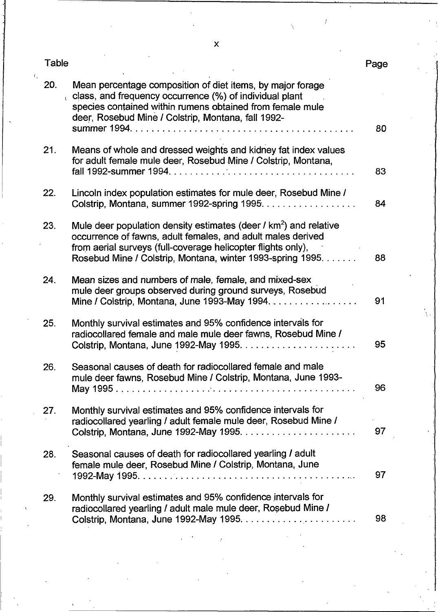| Table |                                                                                                                                                                                                                                          | Page |  |
|-------|------------------------------------------------------------------------------------------------------------------------------------------------------------------------------------------------------------------------------------------|------|--|
| 20.   | Mean percentage composition of diet items, by major forage<br>class, and frequency occurrence (%) of individual plant<br>species contained within rumens obtained from female mule<br>deer, Rosebud Mine / Colstrip, Montana, fall 1992- |      |  |
| 21.   | Means of whole and dressed weights and kidney fat index values                                                                                                                                                                           | 80   |  |
|       | for adult female mule deer, Rosebud Mine / Colstrip, Montana,                                                                                                                                                                            | 83   |  |
| 22.   | Lincoln index population estimates for mule deer, Rosebud Mine /                                                                                                                                                                         | 84   |  |
| 23.   | Mule deer population density estimates (deer $\frac{1}{2}$ km <sup>2</sup> ) and relative<br>occurrence of fawns, adult females, and adult males derived<br>from aerial surveys (full-coverage helicopter flights only),                 |      |  |
|       | Rosebud Mine / Colstrip, Montana, winter 1993-spring 1995.                                                                                                                                                                               | 88   |  |
| 24.   | Mean sizes and numbers of male, female, and mixed-sex<br>mule deer groups observed during ground surveys, Rosebud                                                                                                                        | -91  |  |
| 25.   | Monthly survival estimates and 95% confidence intervals for<br>radiocollared female and male mule deer fawns, Rosebud Mine /                                                                                                             | 95   |  |
| 26.   | Seasonal causes of death for radiocollared female and male<br>mule deer fawns, Rosebud Mine / Colstrip, Montana, June 1993-                                                                                                              | 96   |  |
| 27.   | Monthly survival estimates and 95% confidence intervals for<br>radiocollared yearling / adult female mule deer, Rosebud Mine /<br>Colstrip, Montana, June 1992-May 1995.                                                                 | 97   |  |
| 28.   | Seasonal causes of death for radiocollared yearling / adult<br>female mule deer, Rosebud Mine / Colstrip, Montana, June                                                                                                                  | 97   |  |
| 29.   | Monthly survival estimates and 95% confidence intervals for<br>radiocollared yearling / adult male mule deer, Rosebud Mine /                                                                                                             | 98   |  |

 $\mathsf{x}$ 

 $\epsilon$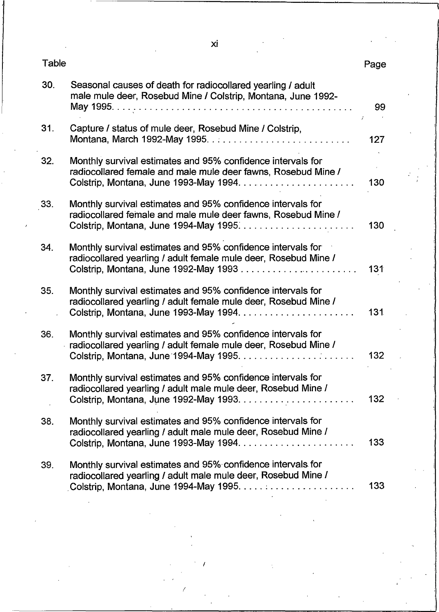| Table |                                                                                                                                                                        | Page |  |
|-------|------------------------------------------------------------------------------------------------------------------------------------------------------------------------|------|--|
| 30.   | Seasonal causes of death for radiocollared yearling / adult<br>male mule deer, Rosebud Mine / Colstrip, Montana, June 1992-                                            | 99   |  |
| 31.   | Capture / status of mule deer, Rosebud Mine / Colstrip,                                                                                                                | 127  |  |
| 32.   | Monthly survival estimates and 95% confidence intervals for<br>radiocollared female and male mule deer fawns, Rosebud Mine /                                           | 130  |  |
| 33.   | Monthly survival estimates and 95% confidence intervals for<br>radiocollared female and male mule deer fawns, Rosebud Mine /                                           | 130  |  |
| 34.   | Monthly survival estimates and 95% confidence intervals for<br>radiocollared yearling / adult female mule deer, Rosebud Mine /                                         | 131  |  |
| 35.   | Monthly survival estimates and 95% confidence intervals for<br>radiocollared yearling / adult female mule deer, Rosebud Mine /                                         | 131  |  |
| 36.   | Monthly survival estimates and 95% confidence intervals for<br>radiocollared yearling / adult female mule deer, Rosebud Mine /                                         | 132  |  |
| 37.   | Monthly survival estimates and 95% confidence intervals for<br>radiocollared yearling / adult male mule deer, Rosebud Mine /                                           | 132  |  |
| 38.   | Monthly survival estimates and 95% confidence intervals for<br>radiocollared yearling / adult male mule deer, Rosebud Mine /                                           | 133  |  |
| 39.   | Monthly survival estimates and 95% confidence intervals for<br>radiocollared yearling / adult male mule deer, Rosebud Mine /<br>Colstrip, Montana, June 1994-May 1995. | 133  |  |

!

-

 $xi$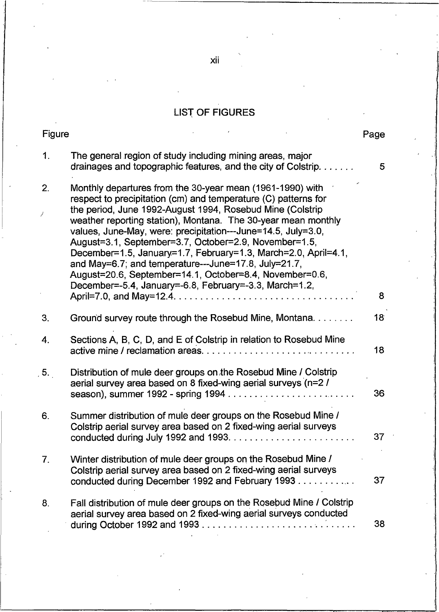### LIST OF FIGURES

| Figure         |                                                                                                                                                                                                                                                                                                                                                                                                                                                                                                                                                                                                                                   | Page            |  |
|----------------|-----------------------------------------------------------------------------------------------------------------------------------------------------------------------------------------------------------------------------------------------------------------------------------------------------------------------------------------------------------------------------------------------------------------------------------------------------------------------------------------------------------------------------------------------------------------------------------------------------------------------------------|-----------------|--|
| 1 <sub>1</sub> | The general region of study including mining areas, major<br>drainages and topographic features, and the city of Colstrip.                                                                                                                                                                                                                                                                                                                                                                                                                                                                                                        | 5               |  |
| 2.             | Monthly departures from the 30-year mean (1961-1990) with<br>respect to precipitation (cm) and temperature (C) patterns for<br>the period, June 1992-August 1994, Rosebud Mine (Colstrip<br>weather reporting station), Montana. The 30-year mean monthly<br>values, June-May, were: precipitation---June=14.5, July=3.0,<br>August=3.1, September=3.7, October=2.9, November=1.5,<br>December=1.5, January=1.7, February=1.3, March=2.0, April=4.1,<br>and May=6.7; and temperature---June=17.8, July=21.7,<br>August=20.6, September=14.1, October=8.4, November=0.6,<br>December=-5.4, January=-6.8, February=-3.3, March=1.2, | 8               |  |
| 3.             | Ground survey route through the Rosebud Mine, Montana.                                                                                                                                                                                                                                                                                                                                                                                                                                                                                                                                                                            | 18 <sup>°</sup> |  |
| 4.             | Sections A, B, C, D, and E of Colstrip in relation to Rosebud Mine                                                                                                                                                                                                                                                                                                                                                                                                                                                                                                                                                                | 18              |  |
| 5.             | Distribution of mule deer groups on the Rosebud Mine / Colstrip<br>aerial survey area based on 8 fixed-wing aerial surveys (n=2 /                                                                                                                                                                                                                                                                                                                                                                                                                                                                                                 | 36              |  |
| 6.             | Summer distribution of mule deer groups on the Rosebud Mine /<br>Colstrip aerial survey area based on 2 fixed-wing aerial surveys                                                                                                                                                                                                                                                                                                                                                                                                                                                                                                 | 37              |  |
| 7.             | Winter distribution of mule deer groups on the Rosebud Mine /<br>Colstrip aerial survey area based on 2 fixed-wing aerial surveys<br>conducted during December 1992 and February 1993                                                                                                                                                                                                                                                                                                                                                                                                                                             | 37              |  |
| 8.             | Fall distribution of mule deer groups on the Rosebud Mine / Colstrip<br>aerial survey area based on 2 fixed-wing aerial surveys conducted                                                                                                                                                                                                                                                                                                                                                                                                                                                                                         | 38              |  |

xii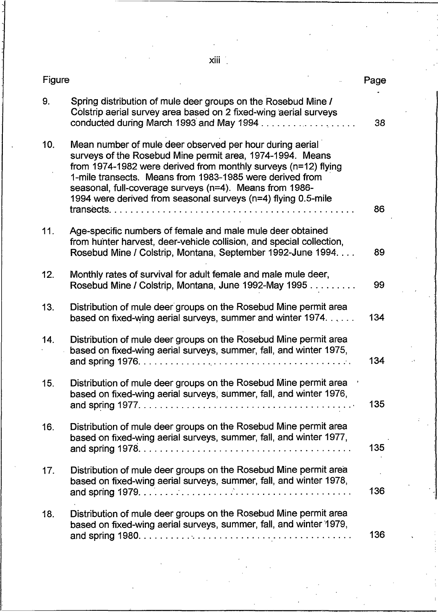$xiii<sup>2</sup>$ .

| Figure |                                                                                                                                                                                                                                                                                                                                                                                 | Page |
|--------|---------------------------------------------------------------------------------------------------------------------------------------------------------------------------------------------------------------------------------------------------------------------------------------------------------------------------------------------------------------------------------|------|
| 9.     | Spring distribution of mule deer groups on the Rosebud Mine /<br>Colstrip aerial survey area based on 2 fixed-wing aerial surveys<br>conducted during March 1993 and May 1994                                                                                                                                                                                                   | 38   |
| 10.    | Mean number of mule deer observed per hour during aerial<br>surveys of the Rosebud Mine permit area, 1974-1994. Means<br>from 1974-1982 were derived from monthly surveys (n=12) flying<br>1-mile transects. Means from 1983-1985 were derived from<br>seasonal, full-coverage surveys (n=4). Means from 1986-<br>1994 were derived from seasonal surveys (n=4) flying 0.5-mile | 86   |
| 11.    | Age-specific numbers of female and male mule deer obtained<br>from hunter harvest, deer-vehicle collision, and special collection,<br>Rosebud Mine / Colstrip, Montana, September 1992-June 1994.                                                                                                                                                                               | 89   |
| 12.    | Monthly rates of survival for adult female and male mule deer,<br>Rosebud Mine / Colstrip, Montana, June 1992-May 1995                                                                                                                                                                                                                                                          | 99   |
| 13.    | Distribution of mule deer groups on the Rosebud Mine permit area<br>based on fixed-wing aerial surveys, summer and winter 1974                                                                                                                                                                                                                                                  | 134  |
| 14.    | Distribution of mule deer groups on the Rosebud Mine permit area<br>based on fixed-wing aerial surveys, summer, fall, and winter 1975,                                                                                                                                                                                                                                          | 134  |
| 15.    | Distribution of mule deer groups on the Rosebud Mine permit area<br>based on fixed-wing aerial surveys, summer, fall, and winter 1976,                                                                                                                                                                                                                                          | 135  |
| 16.    | Distribution of mule deer groups on the Rosebud Mine permit area<br>based on fixed-wing aerial surveys, summer, fall, and winter 1977,                                                                                                                                                                                                                                          | 135  |
| 17.    | Distribution of mule deer groups on the Rosebud Mine permit area<br>based on fixed-wing aerial surveys, summer, fall, and winter 1978,                                                                                                                                                                                                                                          | 136  |
| 18.    | Distribution of mule deer groups on the Rosebud Mine permit area<br>based on fixed-wing aerial surveys, summer, fall, and winter 1979,                                                                                                                                                                                                                                          | 136  |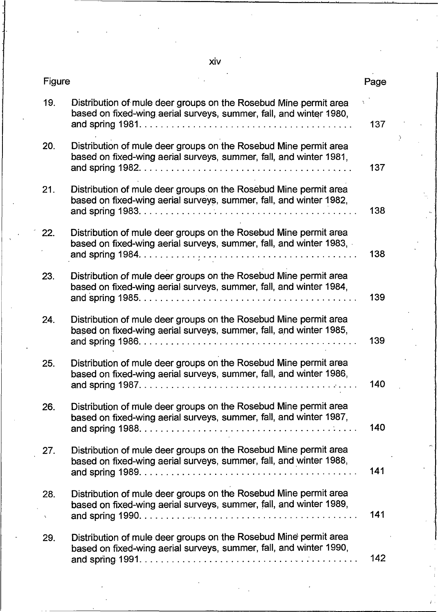**xiv** 

| <b>Figure</b> |                                                                                                                                                                                                                                                         | Page |  |
|---------------|---------------------------------------------------------------------------------------------------------------------------------------------------------------------------------------------------------------------------------------------------------|------|--|
| 19.           | Distribution of mule deer groups on the Rosebud Mine permit area<br>based on fixed-wing aerial surveys, summer, fall, and winter 1980,                                                                                                                  | 137  |  |
| 20.           | Distribution of mule deer groups on the Rosebud Mine permit area<br>based on fixed-wing aerial surveys, summer, fall, and winter 1981,                                                                                                                  | 137  |  |
| 21.           | Distribution of mule deer groups on the Rosebud Mine permit area<br>based on fixed-wing aerial surveys, summer, fall, and winter 1982,                                                                                                                  | 138  |  |
| 22.           | Distribution of mule deer groups on the Rosebud Mine permit area<br>based on fixed-wing aerial surveys, summer, fall, and winter 1983,                                                                                                                  | 138  |  |
| 23.           | Distribution of mule deer groups on the Rosebud Mine permit area<br>based on fixed-wing aerial surveys, summer, fall, and winter 1984,                                                                                                                  | 139  |  |
| 24.           | Distribution of mule deer groups on the Rosebud Mine permit area<br>based on fixed-wing aerial surveys, summer, fall, and winter 1985,                                                                                                                  | 139  |  |
| 25.           | Distribution of mule deer groups on the Rosebud Mine permit area<br>based on fixed-wing aerial surveys, summer, fall, and winter 1986,<br>and spring $1987. \ldots \ldots \ldots \ldots \ldots \ldots \ldots \ldots \ldots \ldots \ldots \ldots \ldots$ | 140  |  |
| 26.           | Distribution of mule deer groups on the Rosebud Mine permit area<br>based on fixed-wing aerial surveys, summer, fall, and winter 1987,                                                                                                                  |      |  |
| 27.           | Distribution of mule deer groups on the Rosebud Mine permit area<br>based on fixed-wing aerial surveys, summer, fall, and winter 1988,                                                                                                                  | 141  |  |
| 28.<br>x      | Distribution of mule deer groups on the Rosebud Mine permit area<br>based on fixed-wing aerial surveys, summer, fall, and winter 1989,                                                                                                                  | 141  |  |
| 29.           | Distribution of mule deer groups on the Rosebud Mine permit area<br>based on fixed-wing aerial surveys, summer, fall, and winter 1990,                                                                                                                  | 142  |  |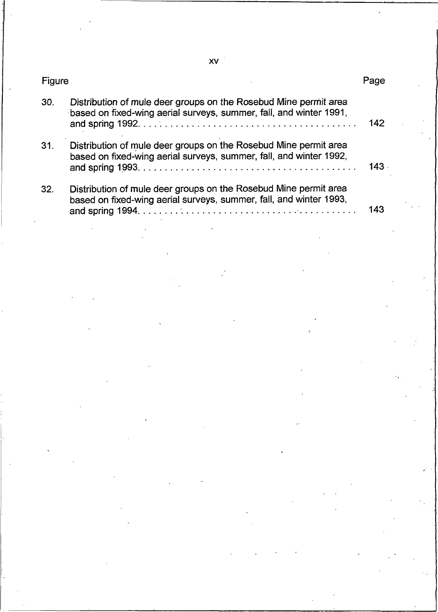| Figure |                                                                                                                                        | Page |  |
|--------|----------------------------------------------------------------------------------------------------------------------------------------|------|--|
| 30.    | Distribution of mule deer groups on the Rosebud Mine permit area<br>based on fixed-wing aerial surveys, summer, fall, and winter 1991, | 142  |  |
| 31.    | Distribution of mule deer groups on the Rosebud Mine permit area<br>based on fixed-wing aerial surveys, summer, fall, and winter 1992, |      |  |
| 32.    | Distribution of mule deer groups on the Rosebud Mine permit area<br>based on fixed-wing aerial surveys, summer, fall, and winter 1993, |      |  |

XV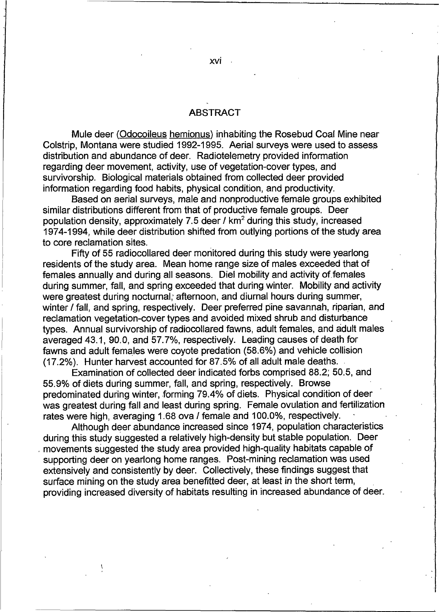### **ABSTRACT**

Mule deer (Odocoileus hemionus) inhabiting the Rosebud Coal Mine near Colstrip. Montana were studied 1992-1995. Aerial surveys were used to assess distribution and abundance of deer. Radiotelemetry provided information regarding deer movement, activity, use of vegetation-cover types, and survivorship. Biological materials obtained from collected deer provided information regarding food habits, physical condition, and productivity.

Based on aerial surveys, male and nonproductive female groups exhibited similar distributions different from that of productive female groups. Deer population density, approximately 7.5 deer / km<sup>2</sup> during this study, increased 1974-1994, while deer distribution shifted from outlying portions of the study area to core reclamation sites.

Fifty of 55 radiocollared deer monitored during this study were yearlong residents of the study area. Mean home range size of males exceeded that of females annually and during all seasons. Diel mobility and activity of females during summer, fall, and spring exceeded that during winter. Mobility and activity were greatest during nocturnal, afternoon, and diurnal hours during summer, winter / fall, and spring, respectively. Deer preferred pine savannah, riparian, and reclamation vegetation-cover types and avoided mixed shrub and disturbance types. Annual survivorship of radiocollared fawns, adult females, and adult males averaged 43.1, 90.0, and 57.7%, respectively. Leading causes of death for fawns and adult females were covote predation (58.6%) and vehicle collision (17.2%). Hunter harvest accounted for 87.5% of all adult male deaths.

Examination of collected deer indicated forbs comprised 88.2; 50.5, and 55.9% of diets during summer, fall, and spring, respectively. Browse predominated during winter, forming 79.4% of diets. Physical condition of deer was greatest during fall and least during spring. Female ovulation and fertilization rates were high, averaging 1.68 ova / female and 100.0%, respectively.

Although deer abundance increased since 1974, population characteristics during this study suggested a relatively high-density but stable population. Deer movements suggested the study area provided high-quality habitats capable of supporting deer on yearlong home ranges. Post-mining reclamation was used extensively and consistently by deer. Collectively, these findings suggest that surface mining on the study area benefitted deer, at least in the short term, providing increased diversity of habitats resulting in increased abundance of deer.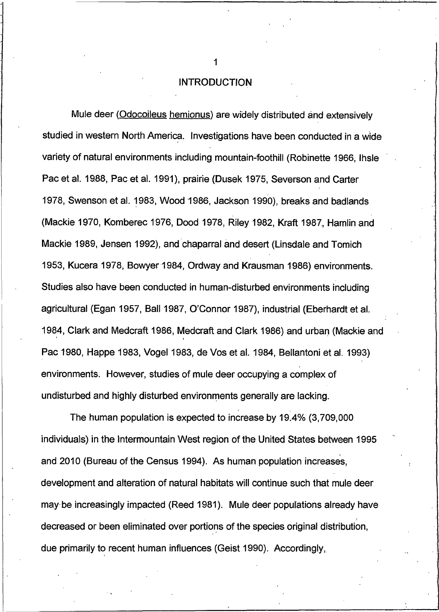**INTRODUCTION** 

Mule deer (Odocoileus hemionus) are widely distributed and extensively studied in western North America. Investigations have been conducted in a wide variety of natural environments including mountain-foothill (Robinette 1966, Ihsle Pac et al. 1988, Pac et al. 1991), prairie (Dusek 1975, Severson and Carter 1978, Swenson et al. 1983, Wood 1986, Jackson 1990), breaks and badlands (Mackie 1970, Komberec 1976, Dood 1978, Riley 1982, Kraft 1987, Hamlin and Mackie 1989, Jensen 1992), and chaparral and desert (Linsdale and Tomich 1953, Kucera 1978, Bowyer 1984, Ordway and Krausman 1986) environments. Studies also have been conducted in human-disturbed environments including agricultural (Egan 1957, Ball 1987, O'Connor 1987), industrial (Eberhardt et al. 1984, Clark and Medcraft 1986, Medcraft and Clark 1986) and urban (Mackie and Pac 1980, Happe 1983, Vogel 1983, de Vos et al. 1984, Bellantoni et al. 1993) environments. However, studies of mule deer occupying a complex of undisturbed and highly disturbed environments generally are lacking.

The human population is expected to increase by 19.4% (3,709,000 individuals) in the Intermountain West region of the United States between 1995 and 2010 (Bureau of the Census 1994). As human population increases, development and alteration of natural habitats will continue such that mule deer may be increasingly impacted (Reed 1981). Mule deer populations already have decreased or been eliminated over portions of the species original distribution, due primarily to recent human influences (Geist 1990). Accordingly,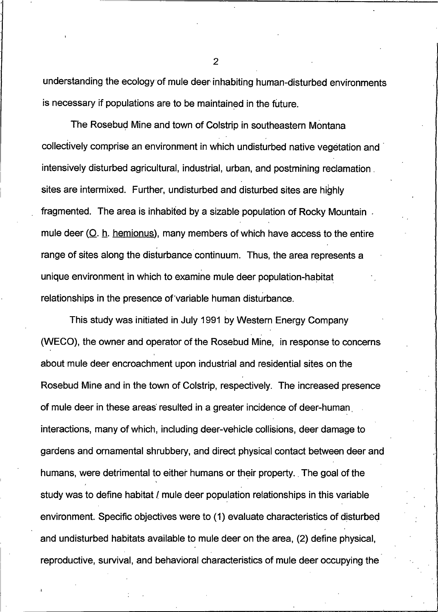understanding the ecology of mule deer inhabiting human-disturbed environments is necessary if populations are to be maintained in the future.

The Rosebud Mine and town of Colstrip in southeastern Montana collectively comprise an environment in which undisturbed native vegetation and intensively disturbed agricultural, industrial, urban, and postmining reclamation sites are intermixed. Further, undisturbed and disturbed sites are highly fragmented. The area is inhabited by a sizable population of Rocky Mountain. mule deer  $(Q, h, h, h, h)$  many members of which have access to the entire range of sites along the disturbance continuum. Thus, the area represents a unique environment in which to examine mule deer population-habitat relationships in the presence of variable human disturbance.

This study was initiated in July 1991 by Western Energy Company (WECO), the owner and operator of the Rosebud Mine, in response to concerns about mule deer encroachment upon industrial and residential sites on the Rosebud Mine and in the town of Colstrip, respectively. The increased presence of mule deer in these areas resulted in a greater incidence of deer-human interactions, many of which, including deer-vehicle collisions, deer damage to gardens and ornamental shrubbery, and direct physical contact between deer and humans, were detrimental to either humans or their property. The goal of the study was to define habitat / mule deer population relationships in this variable environment. Specific objectives were to (1) evaluate characteristics of disturbed and undisturbed habitats available to mule deer on the area, (2) define physical, reproductive, survival, and behavioral characteristics of mule deer occupying the

 $\overline{2}$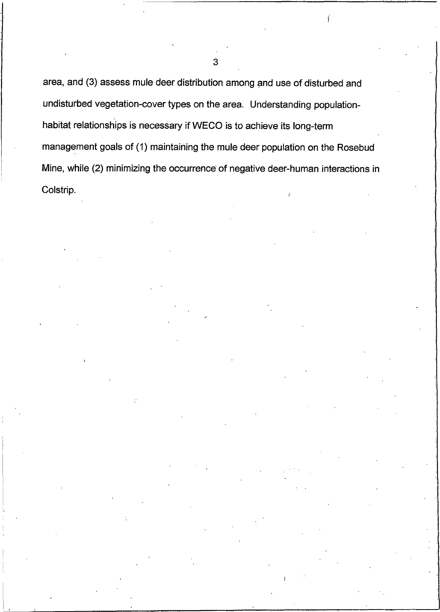area, and (3) assess mule deer distribution among and use of disturbed and undisturbed vegetation-cover types on the area. Understanding populationhabitat relationships is necessary if WECO is to achieve its long-term management goals of (1) maintaining the mule deer population on the Rosebud Mine, while (2) minimizing the occurrence of negative deer-human interactions in Colstrip.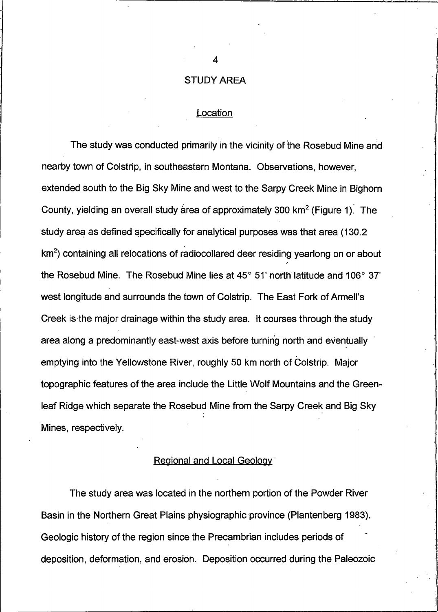#### **STUDY AREA**

### Location

The study was conducted primarily in the vicinity of the Rosebud Mine and nearby town of Colstrip, in southeastern Montana. Observations, however, extended south to the Big Sky Mine and west to the Sarpy Creek Mine in Bighorn County, yielding an overall study area of approximately 300  $km^2$  (Figure 1). The study area as defined specifically for analytical purposes was that area (130.2) km<sup>2</sup>) containing all relocations of radiocollared deer residing yearlong on or about the Rosebud Mine. The Rosebud Mine lies at  $45^{\circ}$  51' north latitude and 106 $^{\circ}$  37' west longitude and surrounds the town of Colstrip. The East Fork of Armell's Creek is the major drainage within the study area. It courses through the study area along a predominantly east-west axis before turning north and eventually emptying into the Yellowstone River, roughly 50 km north of Colstrip. Major topographic features of the area include the Little Wolf Mountains and the Greenleaf Ridge which separate the Rosebud Mine from the Sarpy Creek and Big Sky Mines, respectively.

### Regional and Local Geology

The study area was located in the northern portion of the Powder River Basin in the Northern Great Plains physiographic province (Plantenberg 1983). Geologic history of the region since the Precambrian includes periods of deposition, deformation, and erosion. Deposition occurred during the Paleozoic